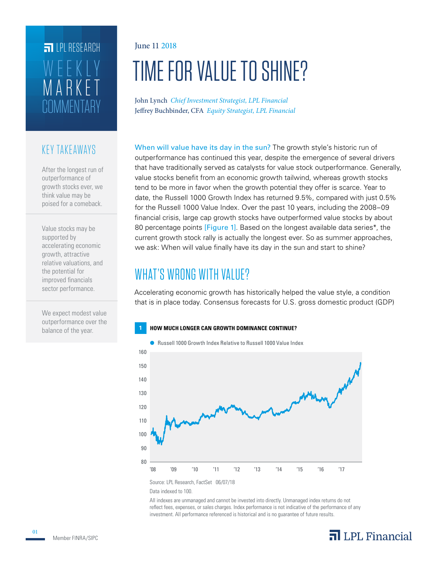## COMMENTARY ARKE WEEKLY **FILPI RESEARCH**

#### KEY TAKEAWAYS

After the longest run of outperformance of growth stocks ever, we think value may be poised for a comeback.

Value stocks may be supported by accelerating economic growth, attractive relative valuations, and the potential for improved financials sector performance.

We expect modest value outperformance over the balance of the year.

#### June 11 2018

# TIME FOR VALUE TO SHINE?

John Lynch *Chief Investment Strategist, LPL Financial* Jeffrey Buchbinder, CFA *Equity Strategist, LPL Financial*

When will value have its day in the sun? The growth style's historic run of outperformance has continued this year, despite the emergence of several drivers that have traditionally served as catalysts for value stock outperformance. Generally, value stocks benefit from an economic growth tailwind, whereas growth stocks tend to be more in favor when the growth potential they offer is scarce. Year to date, the Russell 1000 Growth Index has returned 9.5%, compared with just 0.5% for the Russell 1000 Value Index. Over the past 10 years, including the 2008–09 financial crisis, large cap growth stocks have outperformed value stocks by about 80 percentage points [Figure 1]. Based on the longest available data series\*, the current growth stock rally is actually the longest ever. So as summer approaches, we ask: When will value finally have its day in the sun and start to shine?

## WHAT'S WRONG WITH VALUE?

Accelerating economic growth has historically helped the value style, a condition that is in place today. Consensus forecasts for U.S. gross domestic product (GDP)



Source: LPL Research, FactSet 06/07/18

Data indexed to 100.

All indexes are unmanaged and cannot be invested into directly. Unmanaged index returns do not reflect fees, expenses, or sales charges. Index performance is not indicative of the performance of any investment. All performance referenced is historical and is no guarantee of future results.



01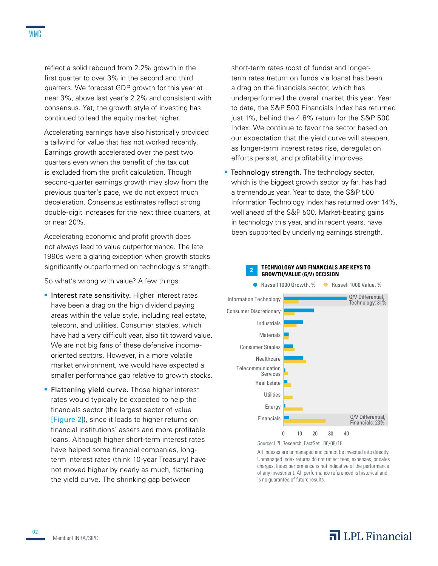Accelerating earnings have also historically provided a tailwind for value that has not worked recently. Earnings growth accelerated over the past two quarters even when the benefit of the tax cut is excluded from the profit calculation. Though second-quarter earnings growth may slow from the previous quarter's pace, we do not expect much deceleration. Consensus estimates reflect strong double-digit increases for the next three quarters, at or near 20%.

consensus. Yet, the growth style of investing has

continued to lead the equity market higher.

Accelerating economic and profit growth does not always lead to value outperformance. The late 1990s were a glaring exception when growth stocks significantly outperformed on technology's strength.

So what's wrong with value? A few things:

- **Interest rate sensitivity.** Higher interest rates have been a drag on the high dividend paying areas within the value style, including real estate, telecom, and utilities. Consumer staples, which have had a very difficult year, also tilt toward value. We are not big fans of these defensive incomeoriented sectors. However, in a more volatile market environment, we would have expected a smaller performance gap relative to growth stocks.
- **Flattening yield curve.** Those higher interest rates would typically be expected to help the financials sector (the largest sector of value [Figure 2]), since it leads to higher returns on financial institutions' assets and more profitable loans. Although higher short-term interest rates have helped some financial companies, longterm interest rates (think 10-year Treasury) have not moved higher by nearly as much, flattening the yield curve. The shrinking gap between

short-term rates (cost of funds) and longerterm rates (return on funds via loans) has been a drag on the financials sector, which has underperformed the overall market this year. Year to date, the S&P 500 Financials Index has returned just 1%, behind the 4.8% return for the S&P 500 Index. We continue to favor the sector based on our expectation that the yield curve will steepen, as longer-term interest rates rise, deregulation efforts persist, and profitability improves.

**Technology strength.** The technology sector, which is the biggest growth sector by far, has had a tremendous year. Year to date, the S&P 500 Information Technology Index has returned over 14%, well ahead of the S&P 500. Market-beating gains in technology this year, and in recent years, have been supported by underlying earnings strength.



All indexes are unmanaged and cannot be invested into directly. Unmanaged index returns do not reflect fees, expenses, or sales charges. Index performance is not indicative of the performance of any investment. All performance referenced is historical and is no guarantee of future results.

### $\overline{\mathbf{a}}$  LPL Financial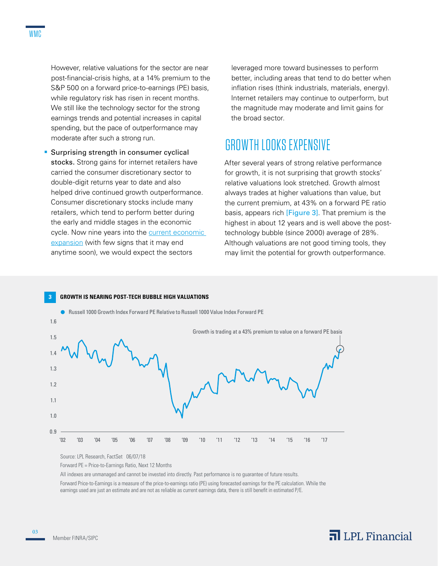However, relative valuations for the sector are near post-financial-crisis highs, at a 14% premium to the S&P 500 on a forward price-to-earnings (PE) basis, while regulatory risk has risen in recent months. We still like the technology sector for the strong earnings trends and potential increases in capital spending, but the pace of outperformance may moderate after such a strong run.

**Surprising strength in consumer cyclical** stocks. Strong gains for internet retailers have carried the consumer discretionary sector to double-digit returns year to date and also helped drive continued growth outperformance. Consumer discretionary stocks include many retailers, which tend to perform better during the early and middle stages in the economic cycle. Now nine years into the current economic expansion (with few signs that it may end anytime soon), we would expect the sectors

leveraged more toward businesses to perform better, including areas that tend to do better when inflation rises (think industrials, materials, energy). Internet retailers may continue to outperform, but the magnitude may moderate and limit gains for the broad sector.

### GROWTH LOOKS EXPENSIVE

After several years of strong relative performance for growth, it is not surprising that growth stocks' relative valuations look stretched. Growth almost always trades at higher valuations than value, but the current premium, at 43% on a forward PE ratio basis, appears rich [Figure 3]. That premium is the highest in about 12 years and is well above the posttechnology bubble (since 2000) average of 28%. Although valuations are not good timing tools, they may limit the potential for growth outperformance.



Source: LPL Research, FactSet 06/07/18

Forward PE = Price-to-Earnings Ratio, Next 12 Months

All indexes are unmanaged and cannot be invested into directly. Past performance is no guarantee of future results.

Forward Price-to-Earnings is a measure of the price-to-earnings ratio (PE) using forecasted earnings for the PE calculation. While the earnings used are just an estimate and are not as reliable as current earnings data, there is still benefit in estimated P/E.

03

#### $\overline{\mathbf{a}}$  LPL Financial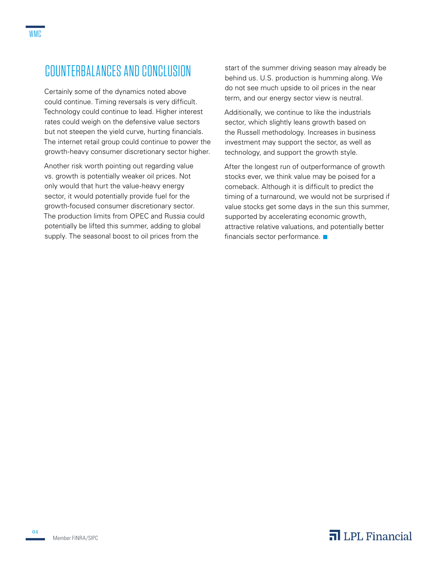Certainly some of the dynamics noted above could continue. Timing reversals is very difficult. Technology could continue to lead. Higher interest rates could weigh on the defensive value sectors but not steepen the yield curve, hurting financials. The internet retail group could continue to power the growth-heavy consumer discretionary sector higher.

Another risk worth pointing out regarding value vs. growth is potentially weaker oil prices. Not only would that hurt the value-heavy energy sector, it would potentially provide fuel for the growth-focused consumer discretionary sector. The production limits from OPEC and Russia could potentially be lifted this summer, adding to global supply. The seasonal boost to oil prices from the

start of the summer driving season may already be behind us. U.S. production is humming along. We do not see much upside to oil prices in the near term, and our energy sector view is neutral.

Additionally, we continue to like the industrials sector, which slightly leans growth based on the Russell methodology. Increases in business investment may support the sector, as well as technology, and support the growth style.

After the longest run of outperformance of growth stocks ever, we think value may be poised for a comeback. Although it is difficult to predict the timing of a turnaround, we would not be surprised if value stocks get some days in the sun this summer, supported by accelerating economic growth, attractive relative valuations, and potentially better financials sector performance.  $\blacksquare$ 

04

## $\overline{\mathbf{a}}$  LPL Financial